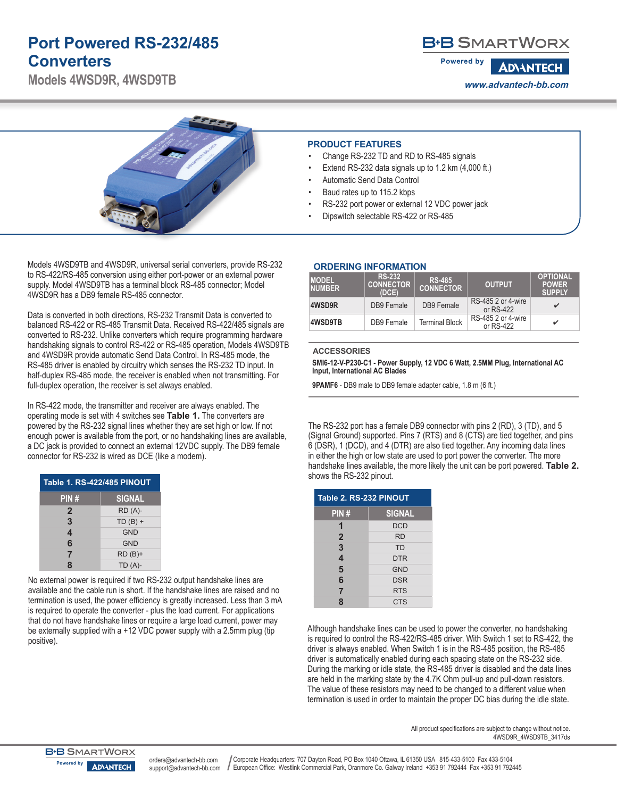## **Port Powered RS-232/485 Converters**

**Models 4WSD9R, 4WSD9TB**

### **B+B SMARTWORX**

**Powered by ADVANTECH www.advantech-bb.com**



Models 4WSD9TB and 4WSD9R, universal serial converters, provide RS-232 to RS-422/RS-485 conversion using either port-power or an external power supply. Model 4WSD9TB has a terminal block RS-485 connector; Model 4WSD9R has a DB9 female RS-485 connector.

Data is converted in both directions, RS-232 Transmit Data is converted to balanced RS-422 or RS-485 Transmit Data. Received RS-422/485 signals are converted to RS-232. Unlike converters which require programming hardware handshaking signals to control RS-422 or RS-485 operation, Models 4WSD9TB and 4WSD9R provide automatic Send Data Control. In RS-485 mode, the RS-485 driver is enabled by circuitry which senses the RS-232 TD input. In half-duplex RS-485 mode, the receiver is enabled when not transmitting. For full-duplex operation, the receiver is set always enabled.

In RS-422 mode, the transmitter and receiver are always enabled. The operating mode is set with 4 switches see **Table 1.** The converters are powered by the RS-232 signal lines whether they are set high or low. If not enough power is available from the port, or no handshaking lines are available, a DC jack is provided to connect an external 12VDC supply. The DB9 female connector for RS-232 is wired as DCE (like a modem).

| <b>Table 1. RS-422/485 PINOUT</b> |               |  |
|-----------------------------------|---------------|--|
| PIN#                              | <b>SIGNAL</b> |  |
| 2                                 | $RD(A)-$      |  |
| 3                                 | $TD(B) +$     |  |
| $\overline{\mathbf{4}}$           | <b>GND</b>    |  |
| 6                                 | <b>GND</b>    |  |
| $\overline{7}$                    | $RD(B)+$      |  |
| 8                                 | $TD(A)-$      |  |

No external power is required if two RS-232 output handshake lines are available and the cable run is short. If the handshake lines are raised and no termination is used, the power efficiency is greatly increased. Less than 3 mA is required to operate the converter - plus the load current. For applications that do not have handshake lines or require a large load current, power may be externally supplied with a +12 VDC power supply with a 2.5mm plug (tip positive).

#### **PRODUCT FEATURES**

- Change RS-232 TD and RD to RS-485 signals
- Extend RS-232 data signals up to 1.2 km  $(4,000 \text{ ft.})$
- Automatic Send Data Control
- Baud rates up to 115.2 kbps
- RS-232 port power or external 12 VDC power jack
- Dipswitch selectable RS-422 or RS-485

| <b>ORDERING INFORMATION</b> |
|-----------------------------|
|                             |

| <b>MODEL</b><br><b>NUMBER</b> | <b>RS-232</b><br><b>CONNECTOR</b><br>(DCE) | <b>RS-485</b><br><b>CONNECTOR</b> | <b>OUTPUT</b>                   | <b>OPTIONAL</b><br><b>POWER</b><br><b>SUPPLY</b> |
|-------------------------------|--------------------------------------------|-----------------------------------|---------------------------------|--------------------------------------------------|
| 4WSD9R                        | DB9 Female                                 | DB9 Female                        | RS-485 2 or 4-wire<br>or RS-422 | v                                                |
| 4WSD9TB                       | DB9 Female                                 | <b>Terminal Block</b>             | RS-485 2 or 4-wire<br>or RS-422 | ✓                                                |

#### **ACCESSORIES**

**SMI6-12-V-P230-C1 - Power Supply, 12 VDC 6 Watt, 2.5MM Plug, International AC Input, International AC Blades**

**9PAMF6** - DB9 male to DB9 female adapter cable, 1.8 m (6 ft.)

The RS-232 port has a female DB9 connector with pins 2 (RD), 3 (TD), and 5 (Signal Ground) supported. Pins 7 (RTS) and 8 (CTS) are tied together, and pins 6 (DSR), 1 (DCD), and 4 (DTR) are also tied together. Any incoming data lines in either the high or low state are used to port power the converter. The more handshake lines available, the more likely the unit can be port powered. **Table 2.** shows the RS-232 pinout.

| Table 2. RS-232 PINOUT  |               |  |
|-------------------------|---------------|--|
| PIN#                    | <b>SIGNAL</b> |  |
| 1                       | <b>DCD</b>    |  |
| $\overline{2}$          | <b>RD</b>     |  |
| 3                       | <b>TD</b>     |  |
| $\overline{\mathbf{4}}$ | <b>DTR</b>    |  |
| 5                       | <b>GND</b>    |  |
| 6                       | <b>DSR</b>    |  |
| $\overline{7}$          | <b>RTS</b>    |  |
| 8                       | <b>CTS</b>    |  |

Although handshake lines can be used to power the converter, no handshaking is required to control the RS-422/RS-485 driver. With Switch 1 set to RS-422, the driver is always enabled. When Switch 1 is in the RS-485 position, the RS-485 driver is automatically enabled during each spacing state on the RS-232 side. During the marking or idle state, the RS-485 driver is disabled and the data lines are held in the marking state by the 4.7K Ohm pull-up and pull-down resistors. The value of these resistors may need to be changed to a different value when termination is used in order to maintain the proper DC bias during the idle state.

> All product specifications are subject to change without notice. 4WSD9R\_4WSD9TB\_3417ds